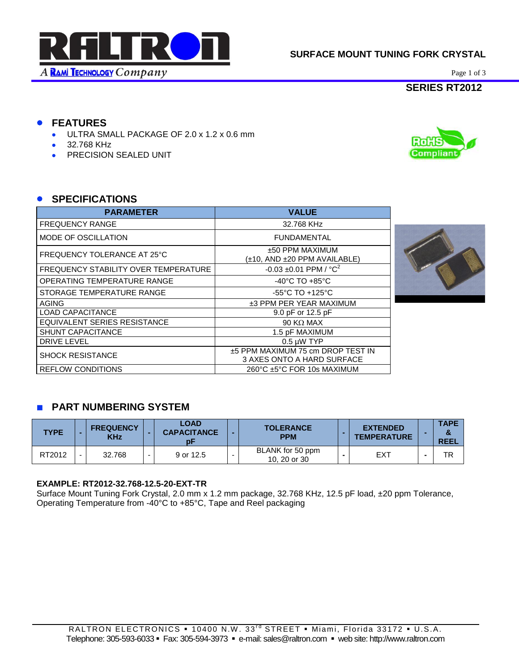

# **SURFACE MOUNT TUNING FORK CRYSTAL**

Page 1 of 3

# **SERIES RT2012**

Compliant

# **FEATURES**

- ULTRA SMALL PACKAGE OF 2.0 x 1.2 x 0.6 mm
- 32.768 KHz
- **PRECISION SEALED UNIT**

### **SPECIFICATIONS**

| <b>PARAMETER</b>                     | <b>VALUE</b>                                                    |
|--------------------------------------|-----------------------------------------------------------------|
| <b>FREQUENCY RANGE</b>               | 32.768 KHz                                                      |
| MODE OF OSCILLATION                  | <b>FUNDAMENTAL</b>                                              |
| FREQUENCY TOLERANCE AT 25°C          | ±50 PPM MAXIMUM<br>(±10, AND ±20 PPM AVAILABLE)                 |
| FREQUENCY STABILITY OVER TEMPERATURE | -0.03 ±0.01 PPM / $^{\circ}$ C <sup>2</sup>                     |
| <b>OPERATING TEMPERATURE RANGE</b>   | $-40^{\circ}$ C TO $+85^{\circ}$ C                              |
| STORAGE TEMPERATURE RANGE            | $-55^{\circ}$ C TO $+125^{\circ}$ C                             |
| <b>AGING</b>                         | ±3 PPM PER YEAR MAXIMUM                                         |
| <b>LOAD CAPACITANCE</b>              | 9.0 pF or 12.5 pF                                               |
| EQUIVALENT SERIES RESISTANCE         | 90 K $\Omega$ MAX                                               |
| <b>SHUNT CAPACITANCE</b>             | 1.5 pF MAXIMUM                                                  |
| <b>DRIVE LEVEL</b>                   | $0.5 \mu W$ TYP                                                 |
| <b>SHOCK RESISTANCE</b>              | ±5 PPM MAXIMUM 75 cm DROP TEST IN<br>3 AXES ONTO A HARD SURFACE |
| <b>REFLOW CONDITIONS</b>             | 260°C ±5°C FOR 10s MAXIMUM                                      |



# **PART NUMBERING SYSTEM**

| <b>TYPE</b> |        | <b>FREQUENCY</b><br><b>KHz</b> | LOAD<br><b>CAPACITANCE</b> | <b>TOLERANCE</b><br><b>PPM</b>   | <b>EXTENDED</b><br><b>TEMPERATURE</b> | <b>TAPE</b><br><b>REEL</b> |
|-------------|--------|--------------------------------|----------------------------|----------------------------------|---------------------------------------|----------------------------|
| RT2012      | $\sim$ | 32.768                         | 9 or 12.5                  | BLANK for 50 ppm<br>10, 20 or 30 | EXT                                   | TR                         |

#### **EXAMPLE: RT2012-32.768-12.5-20-EXT-TR**

Surface Mount Tuning Fork Crystal, 2.0 mm x 1.2 mm package, 32.768 KHz, 12.5 pF load, ±20 ppm Tolerance, Operating Temperature from -40°C to +85°C, Tape and Reel packaging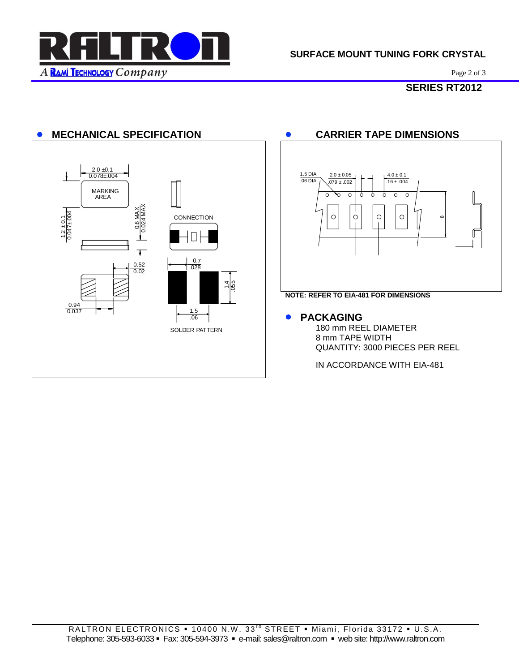

Page 2 of 3

# **SERIES RT2012**

# **•** MECHANICAL SPECIFICATION **•** CARRIER TAPE DIMENSIONS





#### **• PACKAGING**

180 mm REEL DIAMETER 8 mm TAPE WIDTH QUANTITY: 3000 PIECES PER REEL

IN ACCORDANCE WITH EIA-481